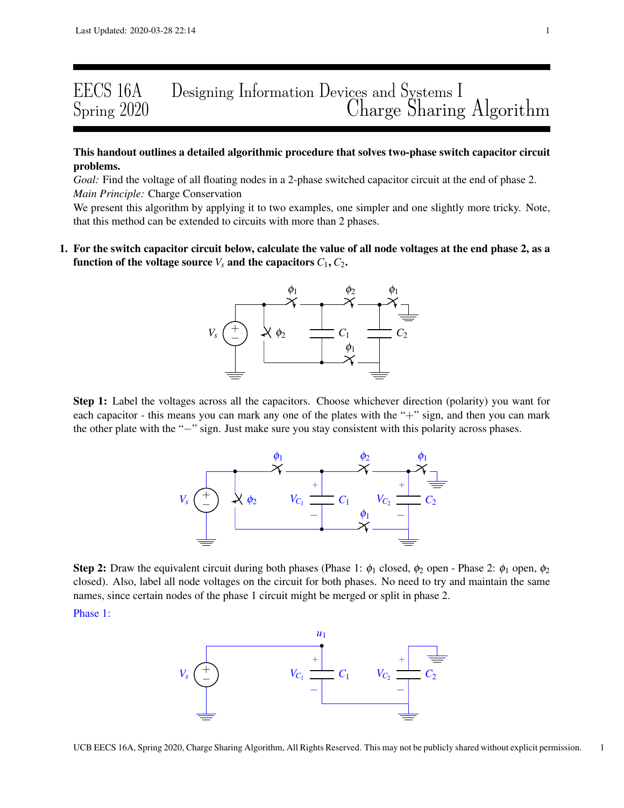# EECS 16A Designing Information Devices and Systems I Charge Sharing Algorithm

# This handout outlines a detailed algorithmic procedure that solves two-phase switch capacitor circuit problems.

*Goal:* Find the voltage of all floating nodes in a 2-phase switched capacitor circuit at the end of phase 2. *Main Principle:* Charge Conservation

We present this algorithm by applying it to two examples, one simpler and one slightly more tricky. Note, that this method can be extended to circuits with more than 2 phases.

1. For the switch capacitor circuit below, calculate the value of all node voltages at the end phase 2, as a function of the voltage source  $V_s$  and the capacitors  $C_1, C_2$ .



Step 1: Label the voltages across all the capacitors. Choose whichever direction (polarity) you want for each capacitor - this means you can mark any one of the plates with the "+" sign, and then you can mark the other plate with the "−" sign. Just make sure you stay consistent with this polarity across phases.



**Step 2:** Draw the equivalent circuit during both phases (Phase 1:  $\phi_1$  closed,  $\phi_2$  open - Phase 2:  $\phi_1$  open,  $\phi_2$ closed). Also, label all node voltages on the circuit for both phases. No need to try and maintain the same names, since certain nodes of the phase 1 circuit might be merged or split in phase 2.

Phase 1:

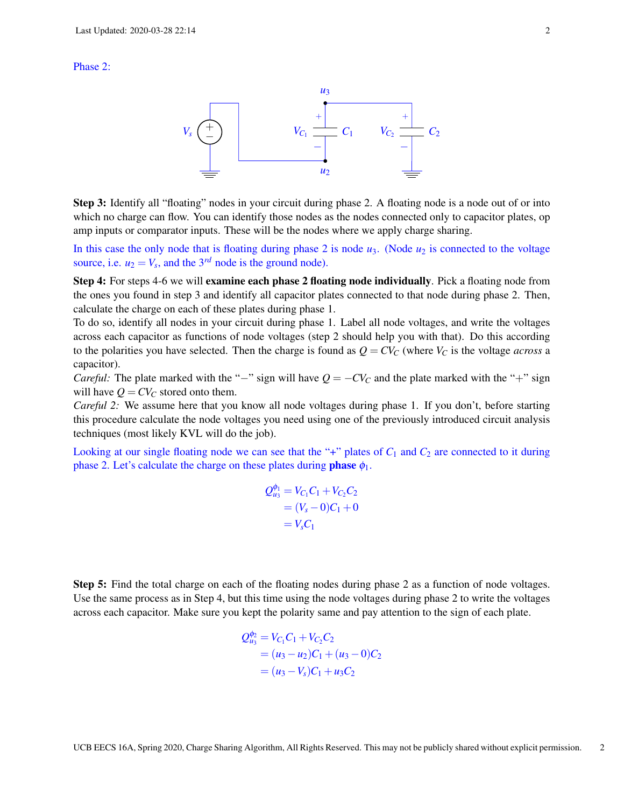#### Phase 2:



Step 3: Identify all "floating" nodes in your circuit during phase 2. A floating node is a node out of or into which no charge can flow. You can identify those nodes as the nodes connected only to capacitor plates, op amp inputs or comparator inputs. These will be the nodes where we apply charge sharing.

In this case the only node that is floating during phase 2 is node  $u_3$ . (Node  $u_2$  is connected to the voltage source, i.e.  $u_2 = V_s$ , and the 3<sup>*rd*</sup> node is the ground node).

Step 4: For steps 4-6 we will examine each phase 2 floating node individually. Pick a floating node from the ones you found in step 3 and identify all capacitor plates connected to that node during phase 2. Then, calculate the charge on each of these plates during phase 1.

To do so, identify all nodes in your circuit during phase 1. Label all node voltages, and write the voltages across each capacitor as functions of node voltages (step 2 should help you with that). Do this according to the polarities you have selected. Then the charge is found as  $Q = CV_C$  (where  $V_C$  is the voltage *across* a capacitor).

*Careful:* The plate marked with the "−" sign will have  $Q = -CV_C$  and the plate marked with the "+" sign will have  $Q = CV_C$  stored onto them.

*Careful 2:* We assume here that you know all node voltages during phase 1. If you don't, before starting this procedure calculate the node voltages you need using one of the previously introduced circuit analysis techniques (most likely KVL will do the job).

Looking at our single floating node we can see that the "+" plates of  $C_1$  and  $C_2$  are connected to it during phase 2. Let's calculate the charge on these plates during **phase**  $\phi_1$ .

$$
Q_{u_3}^{\phi_1} = V_{C_1}C_1 + V_{C_2}C_2
$$
  
=  $(V_s - 0)C_1 + 0$   
=  $V_sC_1$ 

Step 5: Find the total charge on each of the floating nodes during phase 2 as a function of node voltages. Use the same process as in Step 4, but this time using the node voltages during phase 2 to write the voltages across each capacitor. Make sure you kept the polarity same and pay attention to the sign of each plate.

$$
Q_{u_3}^{\phi_2} = V_{C_1}C_1 + V_{C_2}C_2
$$
  
=  $(u_3 - u_2)C_1 + (u_3 - 0)C_2$   
=  $(u_3 - V_s)C_1 + u_3C_2$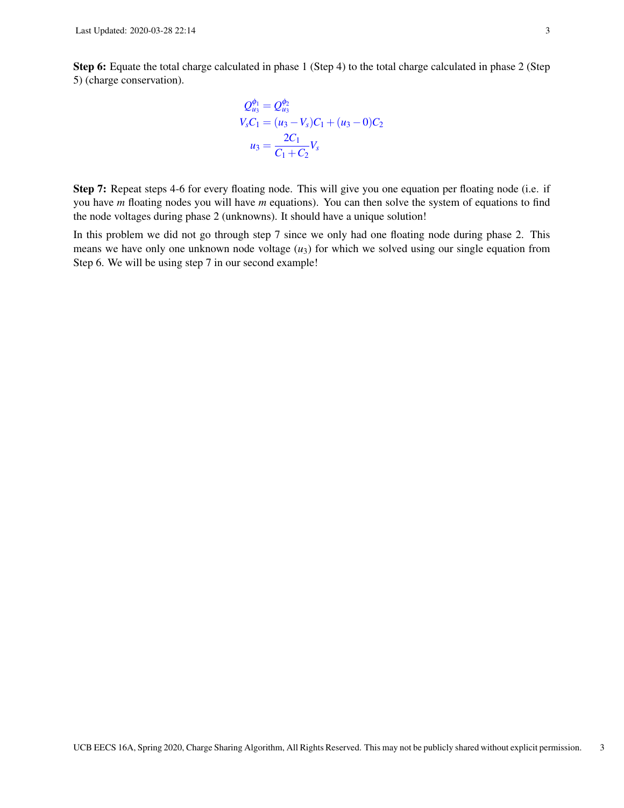Step 6: Equate the total charge calculated in phase 1 (Step 4) to the total charge calculated in phase 2 (Step 5) (charge conservation).

$$
Q_{u_3}^{\phi_1} = Q_{u_3}^{\phi_2}
$$
  
\n
$$
V_s C_1 = (u_3 - V_s)C_1 + (u_3 - 0)C_2
$$
  
\n
$$
u_3 = \frac{2C_1}{C_1 + C_2}V_s
$$

Step 7: Repeat steps 4-6 for every floating node. This will give you one equation per floating node (i.e. if you have *m* floating nodes you will have *m* equations). You can then solve the system of equations to find the node voltages during phase 2 (unknowns). It should have a unique solution!

In this problem we did not go through step 7 since we only had one floating node during phase 2. This means we have only one unknown node voltage  $(u_3)$  for which we solved using our single equation from Step 6. We will be using step 7 in our second example!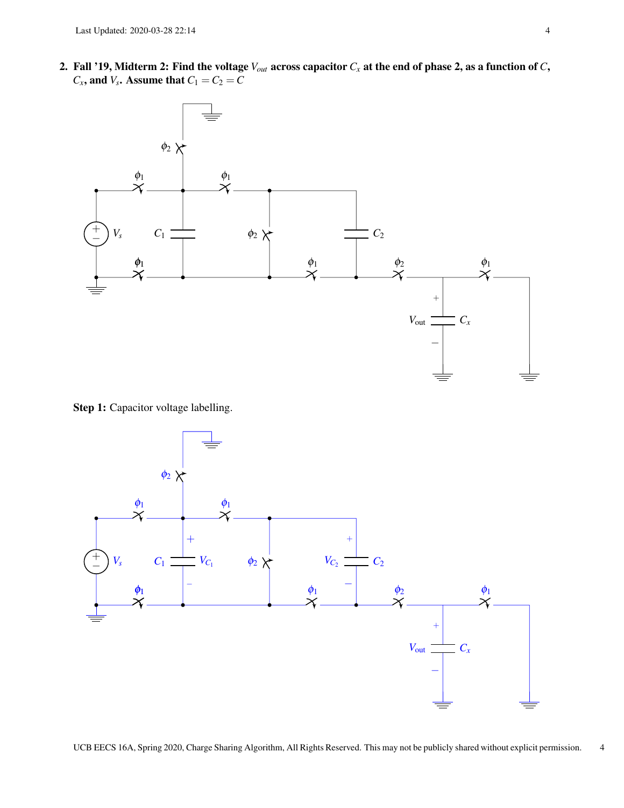2. Fall '19, Midterm 2: Find the voltage *Vout* across capacitor *C<sup>x</sup>* at the end of phase 2, as a function of *C*,  $C_x$ , and  $V_s$ . Assume that  $C_1 = C_2 = C$ 



Step 1: Capacitor voltage labelling.



UCB EECS 16A, Spring 2020, Charge Sharing Algorithm, All Rights Reserved. This may not be publicly shared without explicit permission. 4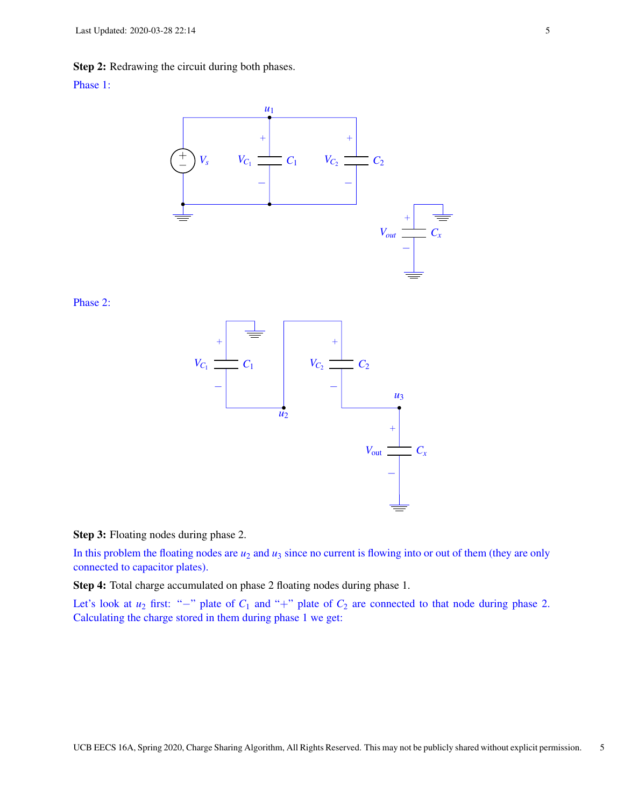Step 2: Redrawing the circuit during both phases.

### Phase 1:



Phase 2:



Step 3: Floating nodes during phase 2.

In this problem the floating nodes are  $u_2$  and  $u_3$  since no current is flowing into or out of them (they are only connected to capacitor plates).

Step 4: Total charge accumulated on phase 2 floating nodes during phase 1.

Let's look at  $u_2$  first: "−" plate of  $C_1$  and "+" plate of  $C_2$  are connected to that node during phase 2. Calculating the charge stored in them during phase 1 we get: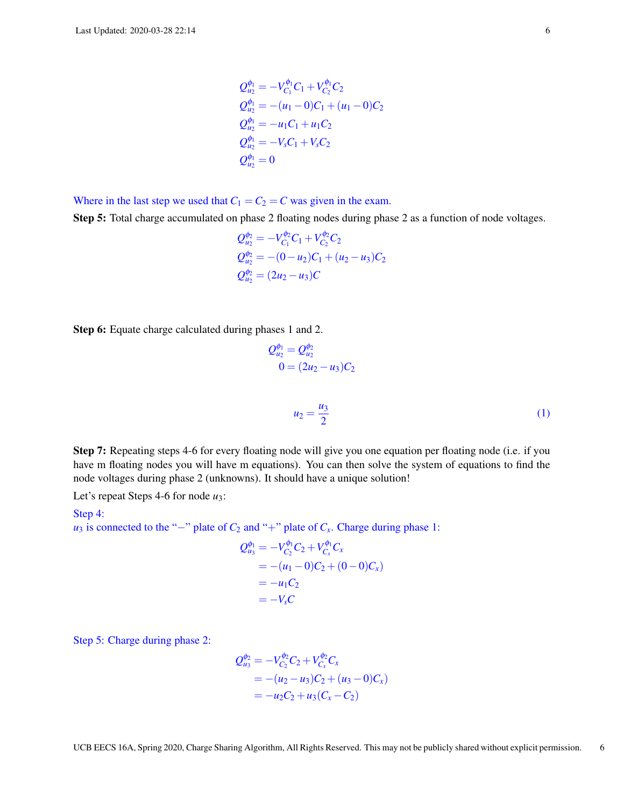$$
Q_{u_2}^{\phi_1} = -V_{C_1}^{\phi_1}C_1 + V_{C_2}^{\phi_1}C_2
$$
  
\n
$$
Q_{u_2}^{\phi_1} = -(u_1 - 0)C_1 + (u_1 - 0)C_2
$$
  
\n
$$
Q_{u_2}^{\phi_1} = -u_1C_1 + u_1C_2
$$
  
\n
$$
Q_{u_2}^{\phi_1} = -V_sC_1 + V_sC_2
$$
  
\n
$$
Q_{u_2}^{\phi_1} = 0
$$

Where in the last step we used that  $C_1 = C_2 = C$  was given in the exam.

Step 5: Total charge accumulated on phase 2 floating nodes during phase 2 as a function of node voltages.

$$
Q_{u_2}^{\phi_2} = -V_{C_1}^{\phi_2}C_1 + V_{C_2}^{\phi_2}C_2
$$
  
\n
$$
Q_{u_2}^{\phi_2} = -(0 - u_2)C_1 + (u_2 - u_3)C_2
$$
  
\n
$$
Q_{u_2}^{\phi_2} = (2u_2 - u_3)C
$$

Step 6: Equate charge calculated during phases 1 and 2.

$$
Q_{u_2}^{\phi_1} = Q_{u_2}^{\phi_2}
$$
  
0 = (2u<sub>2</sub> - u<sub>3</sub>)C<sub>2</sub>

Step 7: Repeating steps 4-6 for every floating node will give you one equation per floating node (i.e. if you have m floating nodes you will have m equations). You can then solve the system of equations to find the node voltages during phase 2 (unknowns). It should have a unique solution!

 $u_2 = \frac{u_3}{2}$ 2

Let's repeat Steps 4-6 for node *u*3:

#### Step 4:

*u*<sub>3</sub> is connected to the "−" plate of  $C_2$  and "+" plate of  $C_x$ . Charge during phase 1:

$$
Q_{u_3}^{\phi_1} = -V_{C_2}^{\phi_1} C_2 + V_{C_x}^{\phi_1} C_x
$$
  
= -(u\_1 - 0)C\_2 + (0 - 0)C\_x)  
= -u\_1 C\_2  
= -V\_s C

Step 5: Charge during phase 2:

$$
Q_{u_3}^{\phi_2} = -V_{C_2}^{\phi_2} C_2 + V_{C_x}^{\phi_2} C_x
$$
  
= -(u\_2 - u\_3)C\_2 + (u\_3 - 0)C\_x)  
= -u\_2C\_2 + u\_3(C\_x - C\_2)

(1)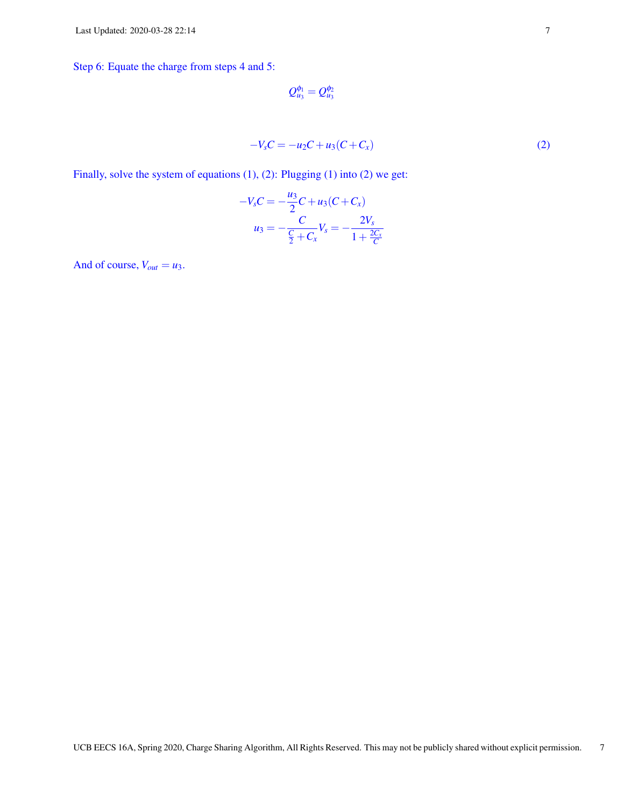Step 6: Equate the charge from steps 4 and 5:

$$
Q_{u_3}^{\phi_1}=Q_{u_3}^{\phi_2}
$$

$$
-V_s C = -u_2 C + u_3 (C + C_x)
$$
 (2)

Finally, solve the system of equations (1), (2): Plugging (1) into (2) we get:

$$
-V_s C = -\frac{u_3}{2}C + u_3(C + C_x)
$$

$$
u_3 = -\frac{C}{\frac{C}{2} + C_x}V_s = -\frac{2V_s}{1 + \frac{2C_x}{C}}
$$

And of course,  $V_{out} = u_3$ .